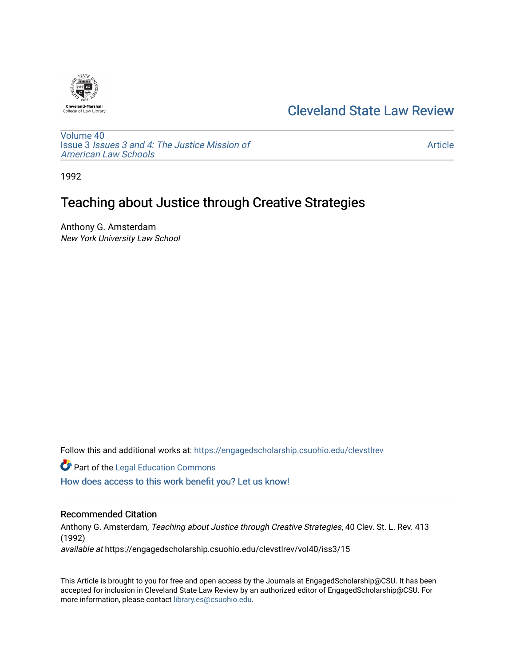

## [Cleveland State Law Review](https://engagedscholarship.csuohio.edu/clevstlrev)

[Volume 40](https://engagedscholarship.csuohio.edu/clevstlrev/vol40) Issue 3 [Issues 3 and 4: The Justice Mission of](https://engagedscholarship.csuohio.edu/clevstlrev/vol40/iss3)  [American Law Schools](https://engagedscholarship.csuohio.edu/clevstlrev/vol40/iss3) 

[Article](https://engagedscholarship.csuohio.edu/clevstlrev/vol40/iss3/15) 

1992

# Teaching about Justice through Creative Strategies

Anthony G. Amsterdam New York University Law School

Follow this and additional works at: [https://engagedscholarship.csuohio.edu/clevstlrev](https://engagedscholarship.csuohio.edu/clevstlrev?utm_source=engagedscholarship.csuohio.edu%2Fclevstlrev%2Fvol40%2Fiss3%2F15&utm_medium=PDF&utm_campaign=PDFCoverPages)

**Part of the Legal Education Commons** 

[How does access to this work benefit you? Let us know!](http://library.csuohio.edu/engaged/)

### Recommended Citation

Anthony G. Amsterdam, Teaching about Justice through Creative Strategies, 40 Clev. St. L. Rev. 413 (1992)

available at https://engagedscholarship.csuohio.edu/clevstlrev/vol40/iss3/15

This Article is brought to you for free and open access by the Journals at EngagedScholarship@CSU. It has been accepted for inclusion in Cleveland State Law Review by an authorized editor of EngagedScholarship@CSU. For more information, please contact [library.es@csuohio.edu](mailto:library.es@csuohio.edu).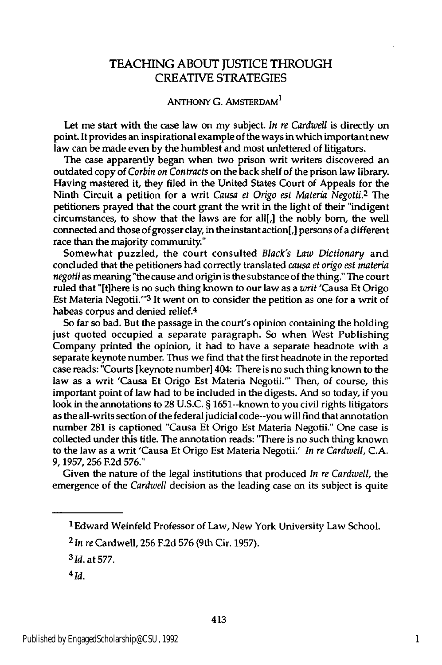## **TEACHING ABOUT** JUSTICE THROUGH CREATIVE STRATEGIES

## **ANTHONY G. AMSTERDAM<sup>1</sup>**

Let me start with the case law on my subject. *In re Cardwell* is directly on point. It provides an inspirational example of the ways in which important new law can be made even **by** the humblest and most unlettered of litigators.

The case apparently began when two prison writ writers discovered an outdated copy of *Corbin on Contracts* on the back shelf of the prison law library. Having mastered it, they filed in the United States Court of Appeals for the Ninth Circuit a petition for a writ *Causa et Origo est Materia Negotii.2* The petitioners prayed that the court grant the writ in the light of their "indigent circumstances, to show that the laws are for all[,] the nobly born, the well connected and those of grosser clay, in the instant action[,] persons of a different race than the majority community."

Somewhat puzzled, the court consulted *Black's Law Dictionary* and concluded that the petitioners had correctly translated *causa et origo est materia negotii* as meaning "the cause and origin is the substance of the thing." The court ruled that "[tihere is no such thing known to our law as a *writ* 'Causa Et Origo Est Materia Negotii."'3 It went on to consider the petition as one for a writ of habeas corpus and denied relief.4

So far so bad. But the passage in the court's opinion containing the holding just quoted occupied a separate paragraph. So when West Publishing Company printed the opinion, it had to have a separate headnote with a separate keynote number. Thus we find that the first headnote in the reported case reads: "Courts [keynote number] 404: There is no such thing known to the law as a writ 'Causa Et Origo Est Materia Negotii."' Then, of course, this important point of law had to be included in the digests. And so today, if you look in the annotations to **28 U.S.C.** § 1651--known to you civil rights litigators as the all-writs section of the federal judicial code--you will find that annotation number **281** is captioned "Causa Et Origo Est Materia Negotii." One case is collected under this title. The annotation reads: "There is no such thing known to the law as a writ 'Causa Et Origo Est Materia Negotii.' *In re Cardwell,* **C.A. 9, 1957, 256 F.2d 576."**

Given the nature of the legal institutions that produced *In re Cardwell, the* emergence of the *Cardwell* decision as the leading case on its subject is quite

**<sup>1</sup> Edward** Weinfeld Professor of Law, New York University Law School.

**<sup>2</sup>In** *re* Cardwell, **256 F.2d 576** (9th Cir. **1957).**

**<sup>3</sup>** Id. at **577.**

 $4$ Id.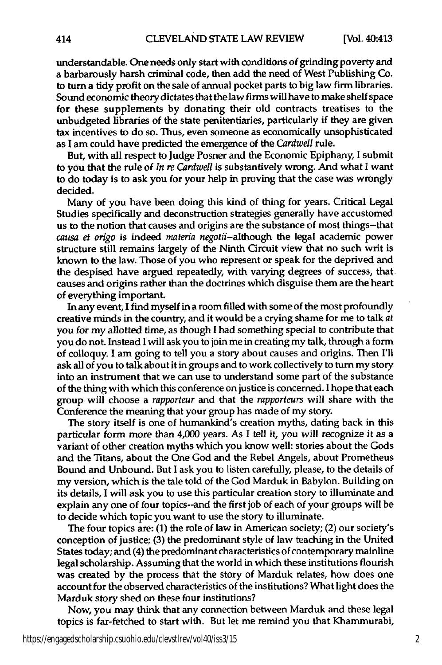understandable. One needs only start with conditions of grinding poverty and a barbarously harsh criminal code, then add the need of West Publishing Co. to turn a tidy profit on the sale of annual pocket parts to big law firm libraries. Sound economic theory dictates that the law firms will have to make shelf space for these supplements **by** donating their old contracts treatises to the unbudgeted libraries of the state penitentiaries, particularly if they are given tax incentives to do so. Thus, even someone as economically unsophisticated as I am could have predicted the emergence of the *Cardwell* rule.

But, with all respect to Judge Posner and the Economic Epiphany, I submit to you that the rule of *In re Cardwell* is substantively wrong. And what I want to do today is to ask you for your help in proving that the case was wrongly decided.

Many of you have been doing this kind of thing for years. Critical Legal Studies specifically and deconstruction strategies generally have accustomed us to the notion that causes and origins are the substance of most things-that *causa et origo* is indeed *materia negotii-although* the legal academic power structure still remains largely of the Ninth Circuit view that no such writ is known to the law. Those of you who represent or speak for the deprived and the despised have argued repeatedly, with varying degrees of success, that causes and origins rather than the doctrines which disguise them are the heart of everything important.

In any event, **I** find myself in a room filled with some of the most profoundly creative minds in the country, and it would be a crying shame for me to talk *at* you for my allotted time, *as* though **I** had something special to contribute that you do not. Instead **I** will ask you to join me in creating my talk, through a form of colloquy. **I** am going to tell you a story about causes and origins. Then **I'll** ask all of you to talk about it in groups and to work collectively to turn my story into an instrument that we can use to understand some part of the substance of the thing with which this conference on justice is concerned. **I** hope that each group will choose a *rapporteur* and that the *rapporteurs* will share with the Conference the meaning that your group has made of my story.

The story itself is one of humankind's creation myths, dating back in this particular form more than 4,000 years. As **I** tell it, you will recognize it as a variant of other creation myths which you know well: stories about the Gods and the Titans, about the One God and the Rebel Angels, about Prometheus Bound and Unbound. But I ask you to listen carefully, please, to the details of my version, which is the tale told of the God Marduk in Babylon. Building on its details, I will ask you to use this particular creation story to illuminate and explain any one of four topics--and the first **job** of each of your groups will be to decide which topic you want to use the story to illuminate.

The four topics are: **(1)** the role of law in American society; (2) our society's conception of justice; **(3)** the predominant style of law teaching in the United States today; and (4) the predominant characteristics of contemporary mainline legal scholarship. Assuming that the world in which these institutions flourish was created **by** the process that the story of Marduk relates, how does one account for the observed characteristics of the institutions? What light does the Marduk story shed on these four institutions?

Now, you may think that any connection between Marduk and these legal topics is far-fetched to start with. But let me **remind** you that Khammurabi,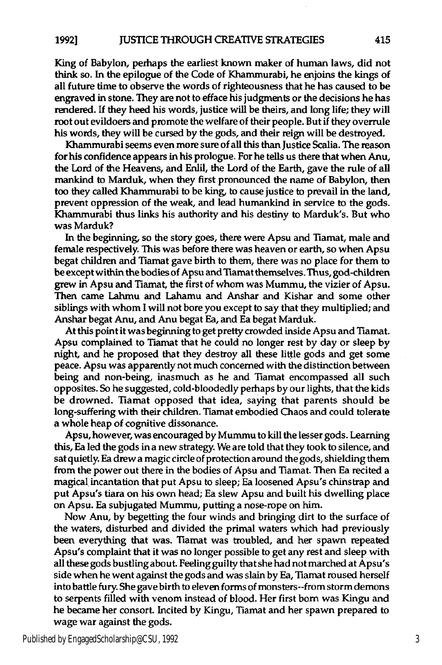King of Babylon, perhaps the earliest known maker of human laws, did not **think** so. In the epilogue of the Code of Khammurabi, he enjoins the kings of all future time to observe the words of righteousness that he has caused to be engraved in stone. They are not to efface his judgments or the decisions he has rendered. **If** they heed his words, justice will be theirs, and long life; they will root out evildoers and promote the welfare of their people. But if they overrule his words, they will be cursed **by** the gods, and their reign will be destroyed.

Khammurabi seems even more sure of all this than justice Scalia. The reason for his confidence appears in his prologue. For he tells us there that when Anu, the Lord of the Heavens, and Enlil, the Lord of the Earth, gave the rule of all mankind to Marduk, when they first pronounced the name of Babylon, then too they called Khammurabi to be king, to cause justice to prevail in the land, prevent oppression of the weak, and lead humankind in service to the gods. Khammurabi thus links his authority and his destiny to Marduk's. But who was Marduk?

In the beginning, so the story goes, there were Apsu and Tiamat, male and female respectively. This was before there was heaven or earth, so when Apsu begat children and Tiamat gave birth to them, there was no place for them to be except within the bodies of Apsu and Tiamat themselves. Thus, god-children grew in Apsu and Tiamat, the first of whom was Mummu, the vizier of Apsu. Then came Lahmu and Lahamu and Anshar and Kishar and some other siblings with whom **I** will not bore you except to say that they multiplied; and Anshar begat Anu, and **Anu** begat Ea, and Ea begat Marduk.

At this point it was beginning to get pretty crowded inside Apsu and Tiamat. Apsu complained to Tiamat that he could no longer rest **by** day or sleep **by** night, and he proposed that they destroy all these little gods and get some peace. Apsu was apparently not much concerned with the distinction between being and non-being, inasmuch as he and Tiamat encompassed all such opposites. So he suggested, cold-bloodedly perhaps **by** our lights, that the kids be drowned. Tiamat opposed that idea, saying that parents should be long-suffering with their children. Tiamat embodied Chaos and could tolerate a whole heap of cognitive dissonance.

Apsu, however, was encouraged **by** Mummu to kill the lesser gods. Learning this, Ea led the gods in a new strategy. We are told that they took to silence, and sat quietly. Ea drew a magic circle of protection around the gods, shielding them from the power out there in the bodies of Apsu and Tiamat. Then Ea recited a magical incantation that put Apsu to sleep; Ea loosened Apsu's chinstrap and put Apsu's tiara on his own head; Ea slew Apsu and built his dwelling place on Apsu. Ea subjugated Mummu, putting a nose-rope on him.

Now Anu, **by** begetting the four winds and bringing dirt to the surface of the waters, disturbed and divided the primal waters which had previously been everything that was. Tiamat was troubled, and her spawn repeated Apsu's complaint that it was no longer possible to get any rest and sleep with all these gods bustling about. Feeling guilty that she had not marched at Apsu's side when he went against the gods and was slain by Ea, Tiamat roused herself into battle fury. She gave birth to eleven forms of monsters--from storm demons to serpents filled with venom instead of blood. Her first born was Kingu and he became her consort. Incited **by** Kingu, Tiamat and her spawn prepared to wage war against the gods.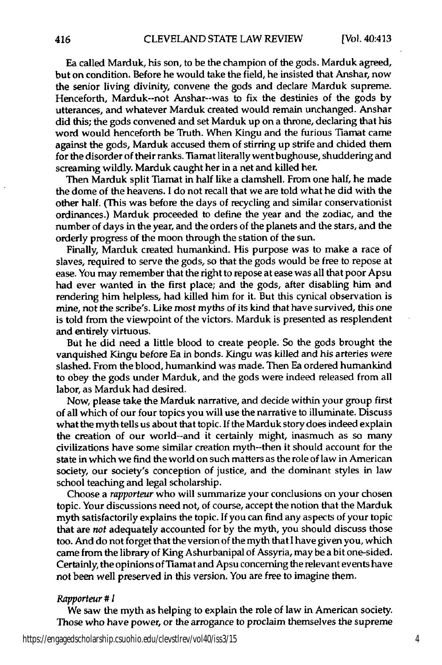Ea called Marduk, his son, to be the champion of the gods. Marduk agreed, but on condition. Before he would take the field, he insisted that Anshar, now the senior living divinity, convene the gods and declare Marduk supreme. Henceforth, Marduk--not Anshar--was to fix the destinies of the gods **by** utterances, and whatever Marduk created would remain unchanged. Anshar did this; the gods convened and set Marduk up on a throne, declaring that his word would henceforth be Truth. When Kingu and the furious Tiamat came against the gods, Marduk accused them of stirring up strife and chided them for the disorder of their ranks. Tiamat literally went bughouse, shuddering and screaming wildly. Marduk caught her in a net and killed her.

Then Marduk split Tiamat in half like a clamshell. From one half, he made the dome of the heavens. **I** do not recall that we are told what he did with the other half. (This was before the days of recycling and similar conservationist ordinances.) Marduk proceeded to define the year and the zodiac, and the number of days in the year, and the orders of the planets and the stars, and the orderly progress of the moon through the station of the sun.

Finally, Marduk created humankind. His purpose was to make a race of slaves, required to serve the gods, so that the gods would be free to repose at ease. You may remember that the right to repose at ease was all that poor Apsu had ever wanted in the first place; and the gods, after disabling him and rendering him helpless, had killed him for it. But this cynical observation is mine, not the scribe's. Like most myths of its kind that have survived, this one is told from the viewpoint of the victors. Marduk is presented as resplendent and entirely virtuous.

But he did need a little blood to create people. So the gods brought the vanquished Kingu before Ea in bonds. Kingu was killed and his arteries were slashed. From the blood, humankind was made. Then Ea ordered humankind to obey the gods under Marduk, and the gods were indeed released from all labor, as Marduk had desired.

Now, please take the Marduk narrative, and decide within your group first of all which of our four topics you will use the narrative to illuminate. Discuss what the myth tells us about that topic. **If** the Marduk story does indeed explain the creation of our world--and it certainly might, inasmuch as so many civilizations have some similar creation myth--then it should account for the state in which we find the world on such matters as the role of law in American society, our society's conception of justice, and the dominant styles in law school teaching and legal scholarship.

Choose a *rapporteur* who will summarize your conclusions on your chosen topic. Your discussions need not, of course, accept the notion that the Marduk myth satisfactorily explains the topic. **If** you can find any aspects of your topic that are *not* adequately accounted for **by** the myth, you should discuss those too. And do not forget that the version of the myth that I have given you, which came from the library of King Ashurbanipal of Assyria, may be a bit one-sided. Certainly, the opinions of Tiamat and Apsu concerning the relevant events have not been well preserved in this version. You are free to imagine them.

#### *Rapporteur # I*

416

We saw the myth as helping to explain the role of law in American society. Those who have power, or the arrogance to proclaim themselves the supreme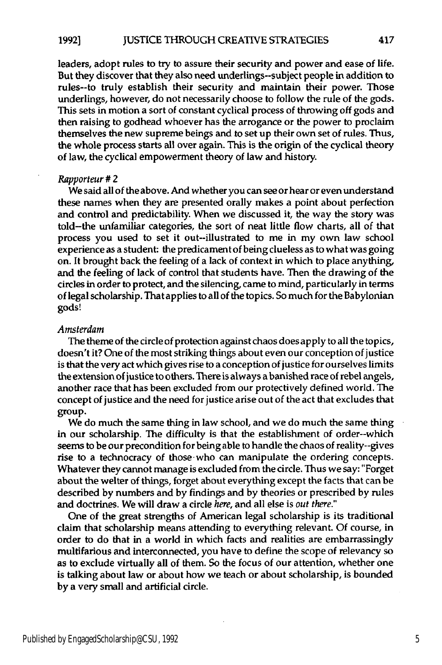leaders, adopt rules to try to assure their security and power and ease of life. But they discover that they also need underlings--subject people in addition to rules--to truly establish their security and maintain their power. Those underlings, however, do not necessarily choose to follow the rule of the gods. This sets in motion a sort of constant cyclical process of throwing off gods and then raising to godhead whoever has the arrogance or the power to proclaim themselves the new supreme beings and to set up their own set of rules. Thus, the whole process starts all over again. This is the origin of the cyclical theory of law, the cyclical empowerment theory of law and history.

#### *Rapporteur # 2*

We said all of the above. And whether you can see or hear or even understand these names when they are presented orally makes a point about perfection and control and predictability. When we discussed it, the way the story was told-the unfamiliar categories, the sort of neat little flow charts, all of that process you used to set it out--illustrated to me in my own law school experience as a student: the predicament of being clueless as to what was going on. It brought back the feeling of a lack of context in which to place anything, and the feeling of lack of control that students have. Then the drawing of the circles in order to protect, and the silencing, came to mind, particularly in terms of legal scholarship. That applies to all of the topics. So much for the Babylonian gods!

#### *Amsterdam*

The theme of the circle of protection against chaos does apply to all the topics, doesn't it? One of the most striking things about even our conception of justice is that the very act which gives rise to a conception of justice for ourselves limits the extension of justice to others. There is always a banished race of rebel angels, another race that has been excluded from our protectively defined world. The concept of justice and the need for justice arise out of the act that excludes that group.

We do much the same thing in law school, and we do much the same thing in our scholarship. The difficulty is that the establishment of order--which seems to be our precondition for being able to handle the chaos of reality--gives rise to a technocracy of those-who can manipulate the ordering concepts. Whatever they cannot manage is excluded from the circle. Thus we say: "Forget about the welter of things, forget about everything except the facts that can be described **by** numbers and **by** findings and **by** theories or prescribed **by** rules and doctrines. We will draw a circle *here,* and all else is *out there."*

One of the great strengths of American legal scholarship is its traditional claim that scholarship means attending to everything relevant. **Of** course, in order to do that in a world in which facts and realities are embarrassingly multifarious and interconnected, you have to define the scope of relevancy so as to exclude virtually all of them. So the focus of our attention, whether one is talking about law or about how we teach or about scholarship, is bounded **by** a very small and artificial circle.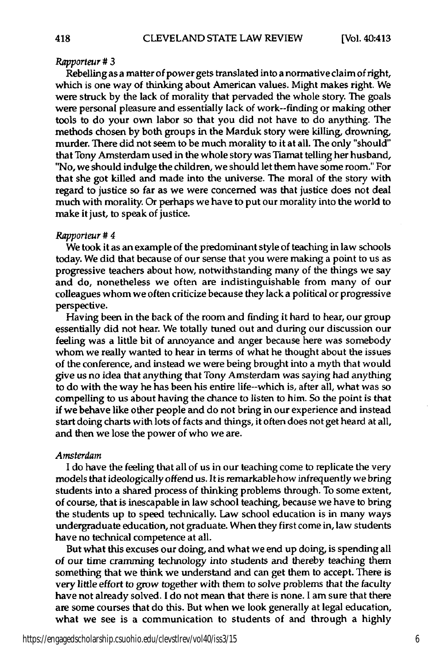#### *Rapporteur # 3*

Rebelling as a matter of power gets translated into a normative claim of right, which is one way of thinking about American values. Might makes right. We were struck **by** the lack of morality that pervaded the whole story. The goals were personal pleasure and essentially lack of work--finding or making other tools to do your own labor so that you did not have to do anything. The methods chosen **by** both groups in the Marduk story were killing, drowning, murder. There did not seem to be much morality to it at all. The only "should" that Tony Amsterdam used in the whole story was Tiamat telling her husband, "No, we should indulge the children, we should let them have some room." For that she got killed and made into the universe. The moral of the story with regard to justice so far as we were concerned was that justice does not deal much with morality. Or perhaps we have to put our morality into the world to make it just, to speak of justice.

#### *Rapporteur # 4*

We took it as an example of the predominant style of teaching in law schools today. We did that because of our sense that you were making a point to us as progressive teachers about how, notwithstanding many of the things we say and do, nonetheless we often are indistinguishable from many of our colleagues whom we often criticize because they lack a political or progressive perspective.

Having been in the back of the room and finding it hard to hear, our group essentially did not hear. We totally tuned out and during our discussion our feeling was a little bit of annoyance and anger because here was somebody whom we really wanted to hear in terms of what he thought about the issues of the conference, and instead we were being brought into a myth that would give us no idea that anything that Tony Amsterdam was saying had anything to do with the way he has been his entire life--which is, after all, what was so compelling to us about having the chance to listen to him. So the point is that if we behave like other people and do not bring in our experience and instead start doing charts with lots of facts and things, it often does not get heard at all, and then we lose the power of who we are.

#### *Amsterdam*

**I** do have the feeling that all of us in our teaching come to replicate the very models that ideologically offend us. Itis remarkablehow infrequently we bring students into a shared process of thinking problems through. To some extent, of course, that is inescapable in law school teaching, because we have to bring the students up to speed technically. Law school education is in many ways undergraduate education, not graduate. When they first come in, law students have no technical competence at all.

But what this excuses our doing, and what we end up doing, is spending all of our time cramming technology into students and thereby teaching them something that we think we understand and can get them to accept. There is very little effort to grow together with them to solve problems that the faculty have not already solved. I do not mean that there is none. I am sure that there are some courses that do this. But when we look generally at legal education, what we see is a communication to students of and through a highly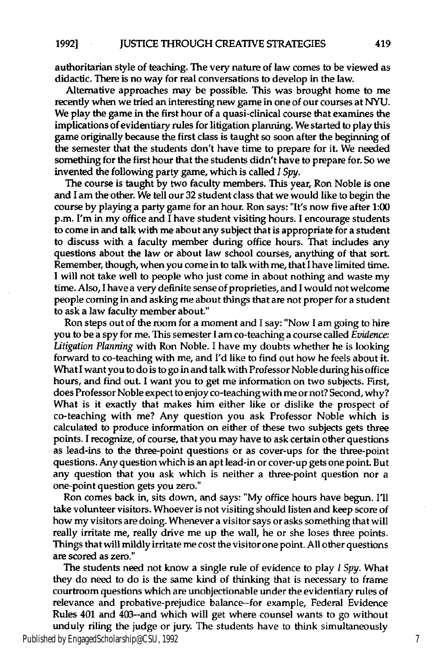authoritarian style of teaching. The very nature of law comes to be viewed as didactic. There is no way for real conversations to develop in the law.

Alternative approaches may be possible. This was brought home to me recently when we tried an interesting new game in one of our courses at **NYU.** We play the game in the first hour of a quasi-clinical course that examines the implications of evidentiary rules for litigation planning. We started to play this game originally because the first class is taught so soon after the beginning of the semester that the students don't have time to prepare for it. We needed something for the first hour that the students didn't have to prepare for. So we invented the following party game, which is called *I Spy.*

The course is taught **by** two faculty members. This year, Ron Noble is one and **I** am the other. We tell our **32** student class that we would like to begin the course **by** playing a party game for an hour. Ron says: "It's now five after **1:00** p.m. I'm in my office and I have student visiting hours. **I** encourage students to come in and talk with me about any subject that is appropriate for a student to discuss with a faculty member during office hours. That includes any questions about the law or about law school courses, anything of that sort. Remember, though, when you come in to talk with me, that I have limited time. **I** will not take well to people who just come in about nothing and waste my time. Also, **I** have a very definite sense of proprieties, and **I** would not welcome people coming in and asking me about things that are not proper for a student to ask a law faculty member about."

Ron steps out of the room for a moment and **I** say: "Now **I** am going to hire you to be a spy for me. This semester **I** am co-teaching a course called *Evidence: Litigation Planning* with Ron Noble. **I** have my doubts whether he is looking forward to co-teaching with me, and **I'd** like to find out how he feels about it. What **I** want you to do is to go in and talk with Professor Noble during his office hours, and find out. **I** want you to get me information on two subjects. First, does Professor Noble expect to enjoy co-teaching with me or not? Second, why? What is it exactly that makes him either like or dislike the prospect of co-teaching with me? Any question you ask Professor Noble which is calculated to produce information on either of these two subjects gets three points. **I** recognize, of course, that you may have to ask certain other questions as lead-ins to the three-point questions or as cover-ups for the three-point questions. Any question which is an apt lead-in or cover-up gets one point. But any question that you ask which is neither a three-point question nor a one-point question gets you zero."

Ron comes back in, sits down, and says: **"My** office hours have begun. **I'll** take volunteer visitors. Whoever is not visiting should listen and keep score of how my visitors are doing. Whenever a visitor says or asks something that will really irritate me, really drive me up the wall, he or she loses three points. Things that will mildly irritate me cost the visitor one point. **All** other questions are scored as zero."

The students need not know a single rule of evidence to play *I Spy.* What they do need to do is the same kind of thinking that is necessary to frame courtroom questions which are unobjectionable under the evidentiary rules of relevance and probative-prejudice balance--for example, Federal Evidence Rules 401 and 403--and which will get where counsel wants to go without unduly riling the judge or **jury.** The students have to think simultaneously

Published by EngagedScholarship@CSU, 1992 7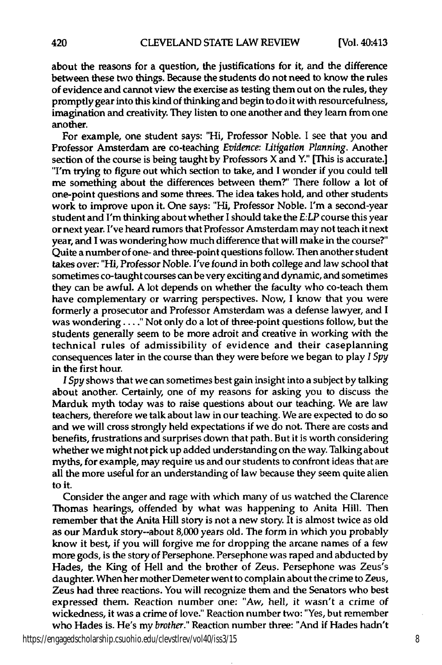about the reasons for a question, the justifications for it, and the difference between these two things. Because the students do not need to know the rules of evidence and cannot view the exercise as testing them out on the rules, they promptly gear into this kind of thinking and begin to do it with resourcefulness, imagination and creativity. They listen to one another and they learn from one another.

For example, one student says: "Hi, Professor Noble. **I** see that you and Professor Amsterdam are co-teaching *Evidence: Litigation Planning.* Another section of the course is being taught **by** Professors X and Y." [This is accurate.] "I'm trying to figure out which section to take, and **I** wonder if you could **tell** me something about the differences between them?" There follow a lot of one-point questions and some threes. The idea takes hold, and other students work to improve upon it. One says: "Hi, Professor Noble. I'm a second-year student and I'm thinking about whether I should take the *E:LP* course this year or next year. I've heard rumors that Professor Amsterdam may not teach it next year, and **I** was wondering how much difference that will make in the course?" Quite a number of one- and three-point questions follow. Then another student takes over: "Hi, Professor Noble. I've found in both college and law school that sometimes co-taught courses can be very exciting and dynamic, and sometimes they can be awful. **A** lot depends on whether the faculty who co-teach them have complementary or warring perspectives. Now, **I** know that you were formerly a prosecutor and Professor Amsterdam was a defense lawyer, and I was wondering **.. "** Not only do a lot of three-point questions follow, but the students generally seem to be more adroit and creative in working with the technical rules of admissibility of evidence and their caseplanning consequences later in the course than they were before we began to play *I Spy* in the first hour.

*I Spy* shows that we can sometimes best gain insight into a subject **by** talking about another. Certainly, one of my reasons for asking you to discuss the Marduk myth today was to raise questions about our teaching. We are law teachers, therefore we talk about law in our teaching. We are expected to do so and we will cross strongly held expectations if we do not. There are costs and benefits, frustrations and surprises down that path. But it is worth considering whether we might not pick up added understanding on the way. Talking about myths, for example, may require us and our students to confront ideas that are all the more useful for an understanding of law because they seem quite alien to it.

Consider the anger and rage with which many of us watched the Clarence Thomas hearings, offended **by** what was happening to Anita Hill. Then remember that the Anita **Hill** story is not a new story. It is almost twice as old as our Marduk story--about **8,000** years old. The form in which you probably know it best, if you will forgive me for dropping the arcane names of a few more gods, is the story of Persephone. Persephone was raped and abducted **by** Hades, the King of Hell and the brother of Zeus. Persephone was Zeus's daughter. When her mother Demeter went to complain about the crime to Zeus, Zeus had three reactions. You will recognize them and the Senators who best expressed them. Reaction number one: "Aw, hell, it wasn't a crime of wickedness, it was a crime of love." Reaction number two: "Yes, but remember who Hades is. He's my *brother."* Reaction number three: "And if Hades hadn't

https://engagedscholarship.csuohio.edu/clevstlrev/vol40/iss3/15 8